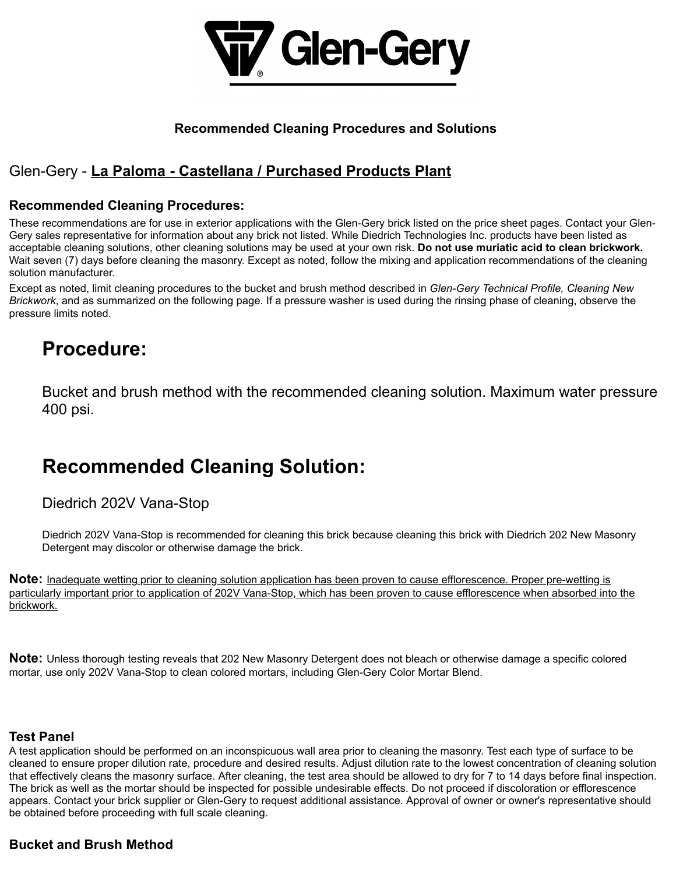

### **Recommended Cleaning Procedures and Solutions**

### Glen-Gery - **La Paloma - Castellana / Purchased Products Plant**

### **Recommended Cleaning Procedures:**

These recommendations are for use in exterior applications with the Glen-Gery brick listed on the price sheet pages. Contact your Glen-Gery sales representative for information about any brick not listed. While Diedrich Technologies Inc. products have been listed as acceptable cleaning solutions, other cleaning solutions may be used at your own risk. **Do not use muriatic acid to clean brickwork.** Wait seven (7) days before cleaning the masonry. Except as noted, follow the mixing and application recommendations of the cleaning solution manufacturer.

Except as noted, limit cleaning procedures to the bucket and brush method described in *Glen-Gery Technical Profile, Cleaning New Brickwork*, and as summarized on the following page. If a pressure washer is used during the rinsing phase of cleaning, observe the pressure limits noted.

## **Procedure:**

Bucket and brush method with the recommended cleaning solution. Maximum water pressure 400 psi.

# **Recommended Cleaning Solution:**

Diedrich 202V Vana-Stop

Diedrich 202V Vana-Stop is recommended for cleaning this brick because cleaning this brick with Diedrich 202 New Masonry Detergent may discolor or otherwise damage the brick.

**Note:** Inadequate wetting prior to cleaning solution application has been proven to cause efflorescence. Proper pre-wetting is particularly important prior to application of 202V Vana-Stop, which has been proven to cause efflorescence when absorbed into the brickwork.

**Note:** Unless thorough testing reveals that 202 New Masonry Detergent does not bleach or otherwise damage a specific colored mortar, use only 202V Vana-Stop to clean colored mortars, including Glen-Gery Color Mortar Blend.

### **Test Panel**

A test application should be performed on an inconspicuous wall area prior to cleaning the masonry. Test each type of surface to be cleaned to ensure proper dilution rate, procedure and desired results. Adjust dilution rate to the lowest concentration of cleaning solution that effectively cleans the masonry surface. After cleaning, the test area should be allowed to dry for 7 to 14 days before final inspection. The brick as well as the mortar should be inspected for possible undesirable effects. Do not proceed if discoloration or efflorescence appears. Contact your brick supplier or Glen-Gery to request additional assistance. Approval of owner or owner's representative should be obtained before proceeding with full scale cleaning.

### **Bucket and Brush Method**